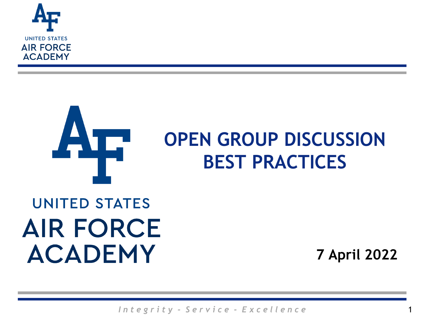



#### **OPEN GROUP DISCUSSION BEST PRACTICES**

## **UNITED STATES AIR FORCE ACADEMY**

**7 April 2022**

1

*I n t e g r i t y - S e r v i c e - E x c e l l e n c e*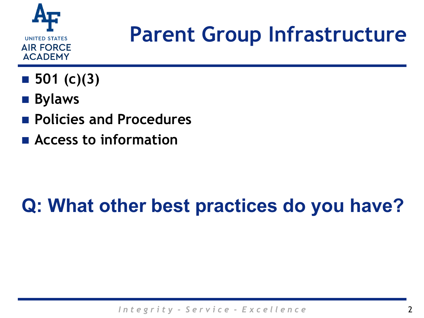

# **Parent Group Infrastructure**

- 501 (c)(3)
- **Bylaws**
- **Policies and Procedures**
- **Access to information**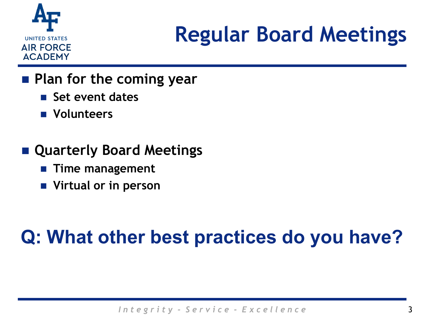

# **Regular Board Meetings**

#### **Plan for the coming year**

- **Set event dates**
- **Volunteers**

#### **Quarterly Board Meetings**

- **Time management**
- **Virtual or in person**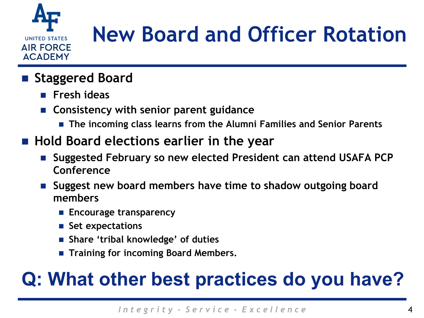

# **New Board and Officer Rotation**

- **Staggered Board** 
	- **Fresh ideas**
	- **Consistency with senior parent guidance**
		- **The incoming class learns from the Alumni Families and Senior Parents**
- **Hold Board elections earlier in the year** 
	- **Suggested February so new elected President can attend USAFA PCP Conference**
	- **Suggest new board members have time to shadow outgoing board members** 
		- **Encourage transparency**
		- **Set expectations**
		- **Share 'tribal knowledge' of duties**
		- **Training for incoming Board Members.**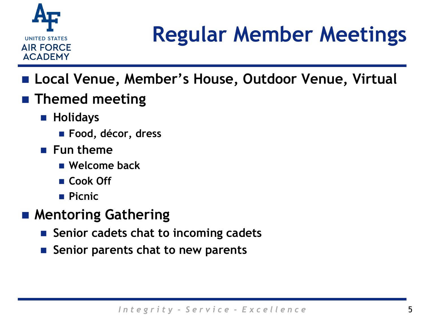

# **Regular Member Meetings**

- Local Venue, Member's House, Outdoor Venue, Virtual
- **Themed meeting** 
	- **Holidays**
		- **Food, décor, dress**
	- **Fun theme**
		- **Welcome back**
		- **Cook Off**
		- **Picnic**
- **Mentoring Gathering**
	- Senior cadets chat to incoming cadets
	- **Senior parents chat to new parents**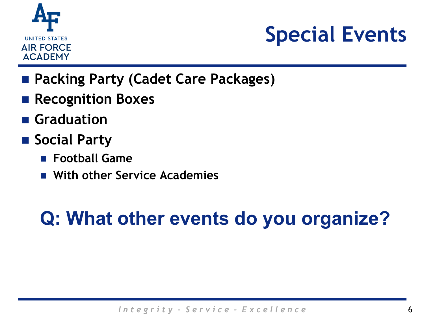

# **Special Events**

- **Packing Party (Cadet Care Packages)**
- **Recognition Boxes**
- **Graduation**
- Social Party
	- **Football Game**
	- **With other Service Academies**

### **Q: What other events do you organize?**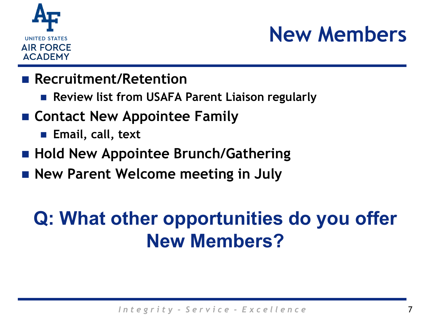

# **New Members**

#### **Recruitment/Retention**

- **Review list from USAFA Parent Liaison regularly**
- **Contact New Appointee Family**
	- **Email, call, text**
- **Hold New Appointee Brunch/Gathering**
- **New Parent Welcome meeting in July**

#### **Q: What other opportunities do you offer New Members?**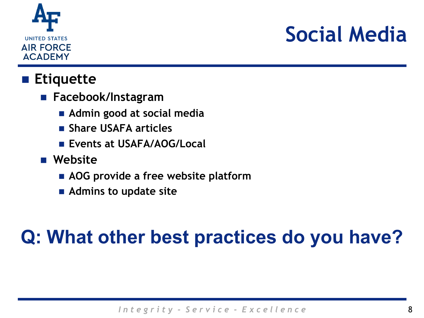

# **Social Media**

#### **Etiquette**

- **Facebook/Instagram**
	- **Admin good at social media**
	- **Share USAFA articles**
	- **Exents at USAFA/AOG/Local**
- **Website**
	- **AOG provide a free website platform**
	- **Admins to update site**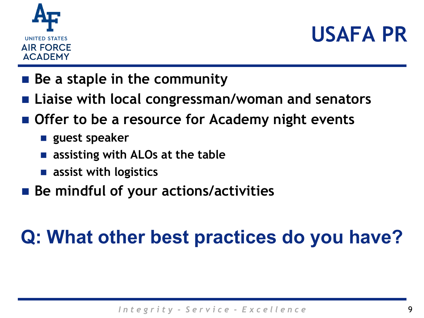



- **Be a staple in the community**
- **Liaise with local congressman/woman and senators**
- **Offer to be a resource for Academy night events**
	- **guest speaker**
	- **assisting with ALOs at the table**
	- **assist with logistics**
- **Be mindful of your actions/activities**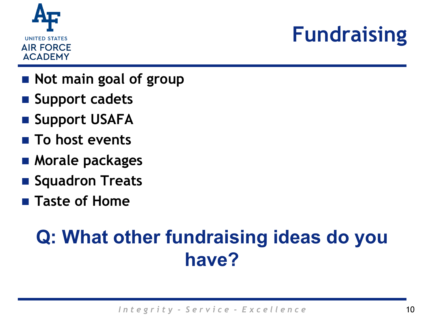

# **Fundraising**

- **Not main goal of group**
- **Support cadets**
- **E** Support USAFA
- **To host events**
- Morale packages
- **Squadron Treats**
- **Taste of Home**

#### **Q: What other fundraising ideas do you have?**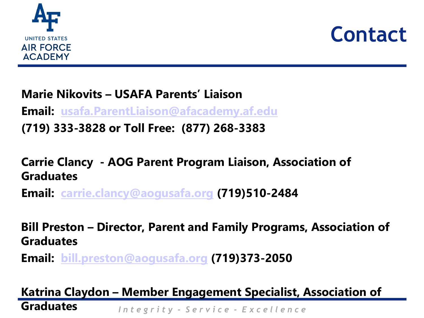



**Marie Nikovits – USAFA Parents' Liaison**

**Email: [usafa.ParentLiaison@afacademy.af.edu](mailto:usafa.parentliaison@afacademy.af.edu)**

**(719) 333-3828 or Toll Free: (877) 268-3383**

**Carrie Clancy - AOG Parent Program Liaison, Association of Graduates**

**Email: [carrie.clancy@aogusafa.org](mailto:carrie.clancy@aogusafa.org) (719)510-2484**

**Bill Preston – Director, Parent and Family Programs, Association of Graduates**

**Email: [bill.preston@aogusafa.org](mailto:bill.preston@aogusafa.org) (719)373-2050**

*I n t e g r i t y - S e r v i c e - E x c e l l e n c e* **Katrina Claydon – Member Engagement Specialist, Association of Graduates**